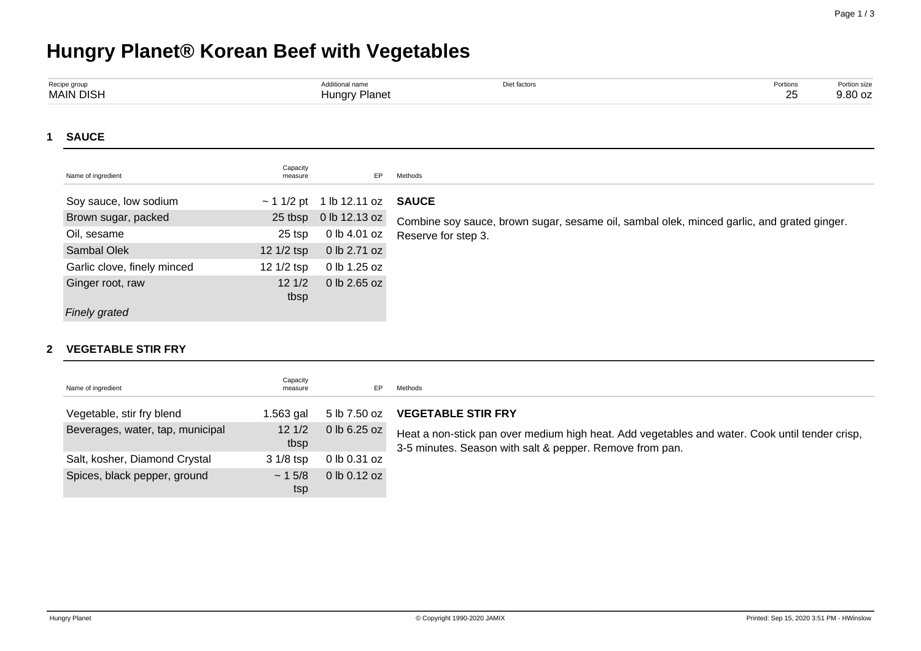## **Hungry Planet® Korean Beef with Vegetables**

| Recipe group     | Additional name      | Diet factors | Portions | Portion size |
|------------------|----------------------|--------------|----------|--------------|
| <b>MAIN DISH</b> | <b>Hungry Planet</b> |              | 25       | 9.80 oz      |
| <b>SAUCE</b>     |                      |              |          |              |

| Name of ingredient          | Capacity<br>measure | EP                            | Methods                                                                                    |
|-----------------------------|---------------------|-------------------------------|--------------------------------------------------------------------------------------------|
| Soy sauce, low sodium       |                     | $\sim$ 1 1/2 pt 1 lb 12.11 oz | <b>SAUCE</b>                                                                               |
| Brown sugar, packed         | 25 tbsp             | 0 lb 12.13 oz                 | Combine soy sauce, brown sugar, sesame oil, sambal olek, minced garlic, and grated ginger. |
| Oil, sesame                 | 25 tsp              | 0 lb 4.01 oz                  | Reserve for step 3.                                                                        |
| Sambal Olek                 | 12 1/2 tsp          | 0 lb 2.71 oz                  |                                                                                            |
| Garlic clove, finely minced | 12 1/2 tsp          | 0 lb 1.25 oz                  |                                                                                            |
| Ginger root, raw            | 121/2<br>tbsp       | 0 lb 2.65 oz                  |                                                                                            |
| <b>Finely grated</b>        |                     |                               |                                                                                            |

## **2 VEGETABLE STIR FRY**

| Name of ingredient               | Capacity<br>measure | EP               | Methods                                                                                                                                                    |
|----------------------------------|---------------------|------------------|------------------------------------------------------------------------------------------------------------------------------------------------------------|
| Vegetable, stir fry blend        | 1.563 gal           | 5 lb 7.50 oz     | <b>VEGETABLE STIR FRY</b>                                                                                                                                  |
| Beverages, water, tap, municipal | 121/2<br>tbsp       | $0$ lb 6.25 oz   | Heat a non-stick pan over medium high heat. Add vegetables and water. Cook until tender crisp,<br>3-5 minutes. Season with salt & pepper. Remove from pan. |
| Salt, kosher, Diamond Crystal    | $31/8$ tsp          | 0 lb 0.31 oz     |                                                                                                                                                            |
| Spices, black pepper, ground     | ~15/8<br>tsp        | $0$ lb $0.12$ oz |                                                                                                                                                            |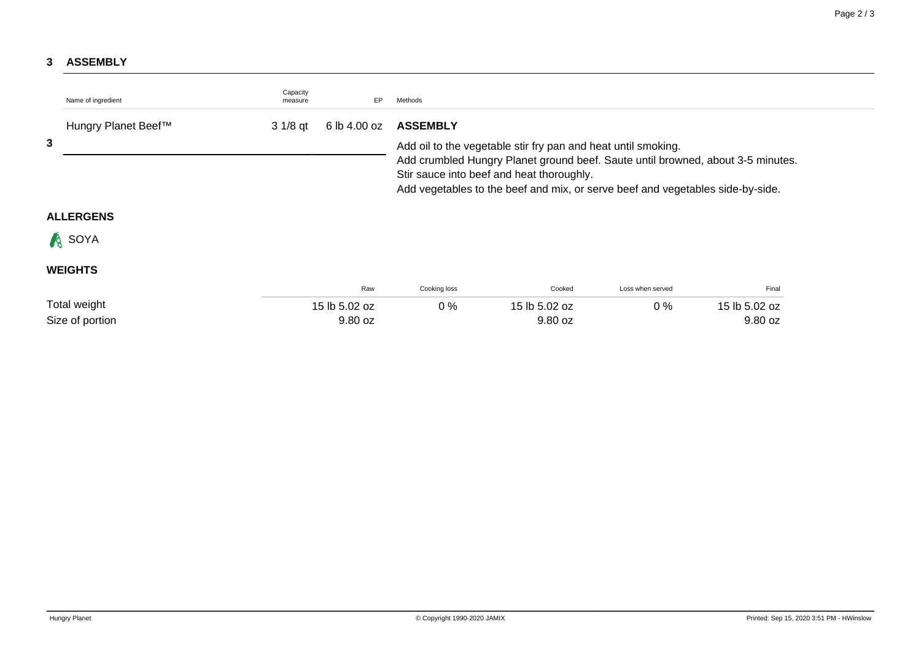## **3 ASSEMBLY**

| Name of ingredient  | Capacity<br>measure | EP            | Methods                                                                                                                                                                                                                                                                         |               |                  |               |  |
|---------------------|---------------------|---------------|---------------------------------------------------------------------------------------------------------------------------------------------------------------------------------------------------------------------------------------------------------------------------------|---------------|------------------|---------------|--|
| Hungry Planet Beef™ | $31/8$ qt           | 6 lb 4.00 oz  | <b>ASSEMBLY</b>                                                                                                                                                                                                                                                                 |               |                  |               |  |
| 3                   |                     |               | Add oil to the vegetable stir fry pan and heat until smoking.<br>Add crumbled Hungry Planet ground beef. Saute until browned, about 3-5 minutes.<br>Stir sauce into beef and heat thoroughly.<br>Add vegetables to the beef and mix, or serve beef and vegetables side-by-side. |               |                  |               |  |
| <b>ALLERGENS</b>    |                     |               |                                                                                                                                                                                                                                                                                 |               |                  |               |  |
| <b>A</b> SOYA       |                     |               |                                                                                                                                                                                                                                                                                 |               |                  |               |  |
| <b>WEIGHTS</b>      |                     |               |                                                                                                                                                                                                                                                                                 |               |                  |               |  |
|                     |                     | Raw           | Cooking loss                                                                                                                                                                                                                                                                    | Cooked        | Loss when served | Final         |  |
| Total weight        |                     | 15 lb 5.02 oz | $0\%$                                                                                                                                                                                                                                                                           | 15 lb 5.02 oz | $0\%$            | 15 lb 5.02 oz |  |
| Size of portion     |                     | 9.80 oz       |                                                                                                                                                                                                                                                                                 | 9.80 oz       |                  | 9.80 oz       |  |